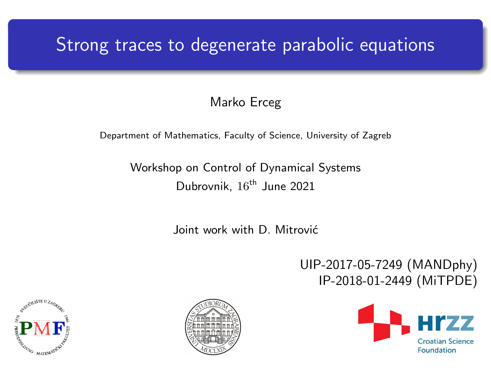## Strong traces to degenerate parabolic equations

### Marko Erceg

#### Department of Mathematics, Faculty of Science, University of Zagreb

### Workshop on Control of Dynamical Systems Dubrovnik, 16<sup>th</sup> June 2021

Joint work with D. Mitrović

UIP-2017-05-7249 (MANDphy) IP-2018-01-2449 (MiTPDE)





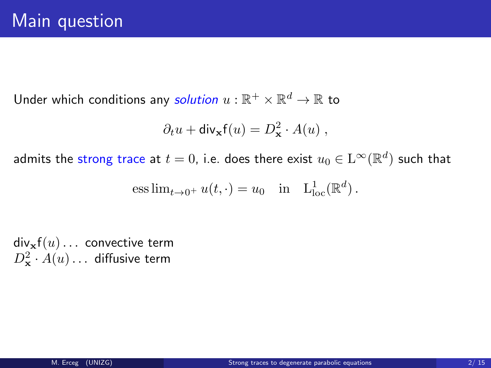Under which conditions any solution  $u:\mathbb{R}^+\times\mathbb{R}^d\to\mathbb{R}$  to

$$
\partial_t u + \text{div}_{\mathbf{x}} f(u) = D_{\mathbf{x}}^2 \cdot A(u) ,
$$

admits the strong trace at  $t=0$ , i.e. does there exist  $u_0\in\mathrm{L}^\infty(\mathbb{R}^d)$  such that

ess 
$$
\lim_{t \to 0^+} u(t, \cdot) = u_0
$$
 in  $L^1_{loc}(\mathbb{R}^d)$ .

 $div_x f(u) \ldots$  convective term  $D_{\bf x}^2\cdot A(u)\ldots$  diffusive term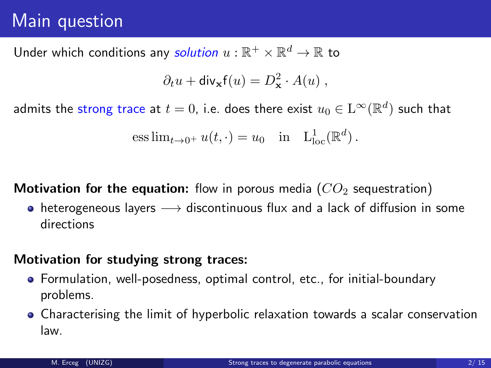## Main question

Under which conditions any solution  $u:\mathbb{R}^+\times\mathbb{R}^d\to\mathbb{R}$  to

$$
\partial_t u + \text{div}_{\mathbf{x}} \mathbf{f}(u) = D_{\mathbf{x}}^2 \cdot A(u) ,
$$

admits the strong trace at  $t=0$ , i.e. does there exist  $u_0\in\mathrm{L}^\infty(\mathbb{R}^d)$  such that

ess 
$$
\lim_{t \to 0^+} u(t, \cdot) = u_0
$$
 in  $L^1_{loc}(\mathbb{R}^d)$ .

**Motivation for the equation:** flow in porous media  $(CO<sub>2</sub>$  sequestration)

• heterogeneous layers  $\longrightarrow$  discontinuous flux and a lack of diffusion in some directions

### Motivation for studying strong traces:

- Formulation, well-posedness, optimal control, etc., for initial-boundary problems.
- Characterising the limit of hyperbolic relaxation towards a scalar conservation law.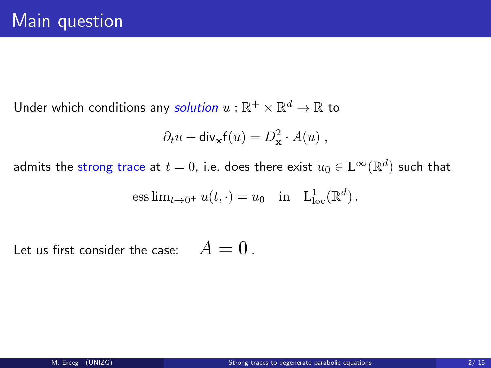Under which conditions any *solution*  $u:\mathbb{R}^+\times\mathbb{R}^d\to\mathbb{R}$  to

$$
\partial_t u + \text{div}_{\mathbf{x}} f(u) = D_{\mathbf{x}}^2 \cdot A(u) ,
$$

admits the strong trace at  $t=0$ , i.e. does there exist  $u_0\in\mathrm{L}^\infty(\mathbb{R}^d)$  such that

ess 
$$
\lim_{t \to 0^+} u(t, \cdot) = u_0
$$
 in  $L^1_{loc}(\mathbb{R}^d)$ .

Let us first consider the case:  $A = 0$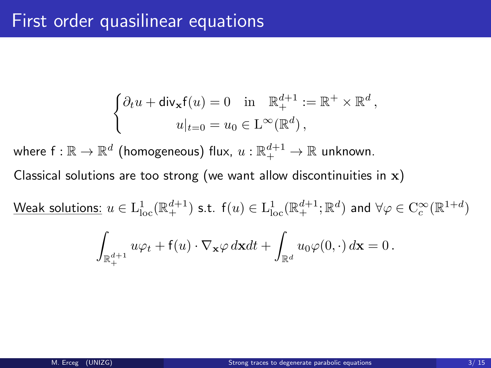$$
\begin{cases} \partial_t u + \operatorname{div}_{\mathbf{x}} \mathbf{f}(u) = 0 & \text{in } \mathbb{R}^{d+1}_+ := \mathbb{R}^+ \times \mathbb{R}^d, \\ u|_{t=0} = u_0 \in \operatorname{ L}^\infty(\mathbb{R}^d), \end{cases}
$$

where  $\mathsf{f}:\mathbb{R}\to\mathbb{R}^d$  (homogeneous) flux,  $u:\mathbb{R}^{d+1}_+\to\mathbb{R}$  unknown.

Classical solutions are too strong (we want allow discontinuities in  $x$ )

<u>Weak solutions:</u>  $u \in \mathrm{L}_\mathrm{loc}^1(\mathbb{R}_+^{d+1})$  s.t.  $\mathsf{f}(u) \in \mathrm{L}_\mathrm{loc}^1(\mathbb{R}_+^{d+1};\mathbb{R}^d)$  and  $\forall \varphi \in \mathrm{C}_c^\infty(\mathbb{R}^{1+d})$ 

$$
\int_{\mathbb{R}_+^{d+1}} u \varphi_t + \mathsf{f}(u) \cdot \nabla_{\mathbf{x}} \varphi \, d\mathbf{x} dt + \int_{\mathbb{R}^d} u_0 \varphi(0,\cdot) \, d\mathbf{x} = 0.
$$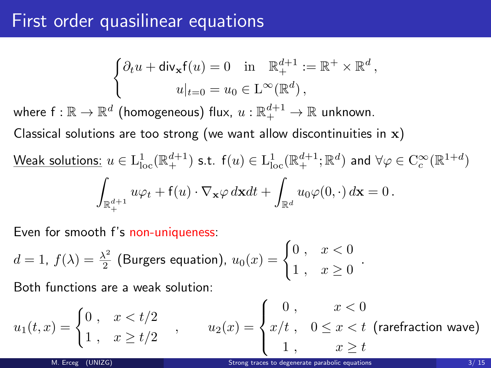### First order quasilinear equations

$$
\begin{cases} \partial_t u + \operatorname{div}_{\mathbf{x}} f(u) = 0 & \text{in } \mathbb{R}^{d+1} := \mathbb{R}^+ \times \mathbb{R}^d, \\ u|_{t=0} = u_0 \in L^\infty(\mathbb{R}^d), \end{cases}
$$

where  $\mathsf{f}:\mathbb{R}\to\mathbb{R}^d$  (homogeneous) flux,  $u:\mathbb{R}^{d+1}_+\to\mathbb{R}$  unknown.

Classical solutions are too strong (we want allow discontinuities in  $x$ )

$$
\underline{\text{Weak solutions:}} \ u \in L^1_{\text{loc}}(\mathbb{R}^{d+1}_+) \text{ s.t. } f(u) \in L^1_{\text{loc}}(\mathbb{R}^{d+1}_+;\mathbb{R}^d) \text{ and } \forall \varphi \in C_c^{\infty}(\mathbb{R}^{1+d})
$$
\n
$$
\int_{\mathbb{R}^{d+1}_+} u\varphi_t + f(u) \cdot \nabla_{\mathbf{x}} \varphi \, d\mathbf{x} dt + \int_{\mathbb{R}^d} u_0 \varphi(0, \cdot) \, d\mathbf{x} = 0 \, .
$$

Even for smooth f's non-uniqueness:

$$
d=1, f(\lambda)=\frac{\lambda^2}{2} \text{ (Burgers equation)}, u_0(x)=\begin{cases} 0, & x<0\\ 1, & x\geq 0 \end{cases}.
$$

Both functions are a weak solution:

$$
u_1(t,x) = \begin{cases} 0, & x < t/2 \\ 1, & x \ge t/2 \end{cases}, \qquad u_2(x) = \begin{cases} 0, & x < 0 \\ x/t, & 0 \le x < t \end{cases}
$$
 (rarefraction wave)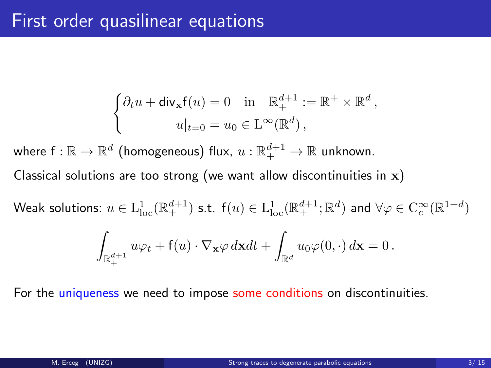$$
\label{eq:2.1} \begin{cases} \partial_t u + \mathsf{div}_{\mathbf{x}} \mathsf{f}(u) = 0 \quad \text{in} \quad \mathbb{R}^{d+1}_+ := \mathbb{R}^+ \times \mathbb{R}^d \,, \\ \qquad \qquad u|_{t=0} = u_0 \in \mathcal{L}^\infty(\mathbb{R}^d) \,, \end{cases}
$$

where  $\mathsf{f}:\mathbb{R}\to\mathbb{R}^d$  (homogeneous) flux,  $u:\mathbb{R}^{d+1}_+\to\mathbb{R}$  unknown.

Classical solutions are too strong (we want allow discontinuities in  $x$ )

<u>Weak solutions:</u>  $u \in \mathrm{L}_\mathrm{loc}^1(\mathbb{R}_+^{d+1})$  s.t.  $\mathsf{f}(u) \in \mathrm{L}_\mathrm{loc}^1(\mathbb{R}_+^{d+1};\mathbb{R}^d)$  and  $\forall \varphi \in \mathrm{C}_c^\infty(\mathbb{R}^{1+d})$ 

$$
\int_{\mathbb{R}^{d+1}_+} u \varphi_t + \mathsf{f}(u) \cdot \nabla_{\mathbf{x}} \varphi \, d\mathbf{x} dt + \int_{\mathbb{R}^d} u_0 \varphi(0,\cdot) \, d\mathbf{x} = 0 \, .
$$

For the uniqueness we need to impose some conditions on discontinuities.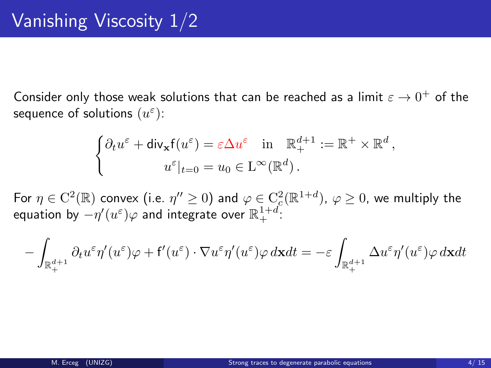Consider only those weak solutions that can be reached as a limit  $\varepsilon \to 0^+$  of the sequence of solutions  $(u^\varepsilon)$ :

$$
\begin{cases} \partial_t u^{\varepsilon} + \mathsf{div}_{\mathbf{x}} \mathsf{f}(u^{\varepsilon}) = \varepsilon \Delta u^{\varepsilon} & \text{in } \mathbb{R}^{d+1} := \mathbb{R}^+ \times \mathbb{R}^d, \\ u^{\varepsilon}|_{t=0} = u_0 \in \mathcal{L}^{\infty}(\mathbb{R}^d). \end{cases}
$$

For  $\eta\in\mathrm{C}^2(\mathbb{R})$  convex (i.e.  $\eta''\geq 0)$  and  $\varphi\in\mathrm{C}_c^2(\mathbb{R}^{1+d})$ ,  $\varphi\geq 0$ , we multiply the equation by  $-\eta'(u^\varepsilon)\varphi$  and integrate over  $\mathbb{R}^{1+d}_+$  :

$$
-\int_{\mathbb{R}^{d+1}_+} \partial_t u^\varepsilon \eta'(u^\varepsilon)\varphi + \mathsf{f}'(u^\varepsilon)\cdot \nabla u^\varepsilon \eta'(u^\varepsilon)\varphi \,d\mathbf{x} dt = -\varepsilon \int_{\mathbb{R}^{d+1}_+} \Delta u^\varepsilon \eta'(u^\varepsilon)\varphi \,d\mathbf{x} dt
$$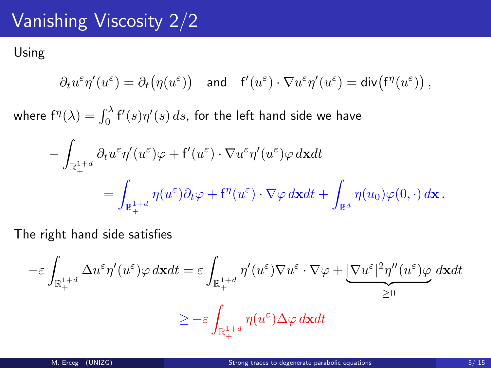## Vanishing Viscosity 2/2

Using

$$
\partial_t u^\varepsilon \eta'(u^\varepsilon) = \partial_t \big( \eta(u^\varepsilon) \big) \quad \text{and} \quad \mathsf{f}'(u^\varepsilon) \cdot \nabla u^\varepsilon \eta'(u^\varepsilon) = \mathsf{div} \big( \mathsf{f}^\eta(u^\varepsilon) \big) \,,
$$

where  $\mathsf{f}^\eta(\lambda) = \int_0^\lambda \mathsf{f}'(s) \eta'(s) \, ds$ , for the left hand side we have

$$
- \int_{\mathbb{R}^{1+d}_+} \partial_t u^{\varepsilon} \eta'(u^{\varepsilon}) \varphi + \mathsf{f}'(u^{\varepsilon}) \cdot \nabla u^{\varepsilon} \eta'(u^{\varepsilon}) \varphi \, d\mathbf{x} dt = \int_{\mathbb{R}^{1+d}_+} \eta(u^{\varepsilon}) \partial_t \varphi + \mathsf{f}''(u^{\varepsilon}) \cdot \nabla \varphi \, d\mathbf{x} dt + \int_{\mathbb{R}^d} \eta(u_0) \varphi(0, \cdot) \, d\mathbf{x} .
$$

The right hand side satisfies

$$
-\varepsilon\int_{\mathbb{R}^{1+d}_+}\Delta u^\varepsilon \eta'(u^\varepsilon)\varphi\,d\mathbf{x} dt = \varepsilon\int_{\mathbb{R}^{1+d}_+}\eta'(u^\varepsilon)\nabla u^\varepsilon\cdot\nabla\varphi + \underbrace{|\nabla u^\varepsilon|^2\eta''(u^\varepsilon)\varphi}_{\geq 0}\,d\mathbf{x} dt
$$
  

$$
\geq -\varepsilon\int_{\mathbb{R}^{1+d}_+}\eta(u^\varepsilon)\Delta\varphi\,d\mathbf{x} dt
$$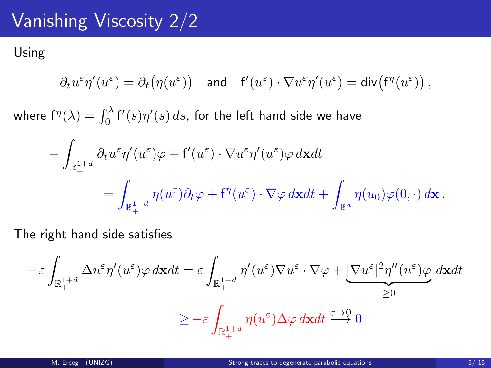## Vanishing Viscosity 2/2

Using

$$
\partial_t u^\varepsilon \eta'(u^\varepsilon) = \partial_t \big( \eta(u^\varepsilon) \big) \quad \text{and} \quad \mathsf{f}'(u^\varepsilon) \cdot \nabla u^\varepsilon \eta'(u^\varepsilon) = \mathsf{div} \big( \mathsf{f}^\eta(u^\varepsilon) \big) \, ,
$$

where  $\mathsf{f}^\eta(\lambda) = \int_0^\lambda \mathsf{f}'(s) \eta'(s) \, ds$ , for the left hand side we have

$$
- \int_{\mathbb{R}^{1+d}_+} \partial_t u^{\varepsilon} \eta'(u^{\varepsilon}) \varphi + \mathsf{f}'(u^{\varepsilon}) \cdot \nabla u^{\varepsilon} \eta'(u^{\varepsilon}) \varphi \, d\mathbf{x} dt = \int_{\mathbb{R}^{1+d}_+} \eta(u^{\varepsilon}) \partial_t \varphi + \mathsf{f}''(u^{\varepsilon}) \cdot \nabla \varphi \, d\mathbf{x} dt + \int_{\mathbb{R}^d} \eta(u_0) \varphi(0, \cdot) \, d\mathbf{x} .
$$

The right hand side satisfies

$$
-\varepsilon\int_{\mathbb{R}^{1+d}_+}\Delta u^\varepsilon \eta'(u^\varepsilon)\varphi\,d\mathbf{x} dt = \varepsilon\int_{\mathbb{R}^{1+d}_+}\eta'(u^\varepsilon)\nabla u^\varepsilon\cdot\nabla\varphi + \underbrace{|\nabla u^\varepsilon|^2\eta''(u^\varepsilon)\varphi}_{\geq 0}\,d\mathbf{x} dt
$$
  

$$
\geq -\varepsilon\int_{\mathbb{R}^{1+d}_+}\eta(u^\varepsilon)\Delta\varphi\,d\mathbf{x} dt \stackrel{\varepsilon\to 0}{\longrightarrow} 0
$$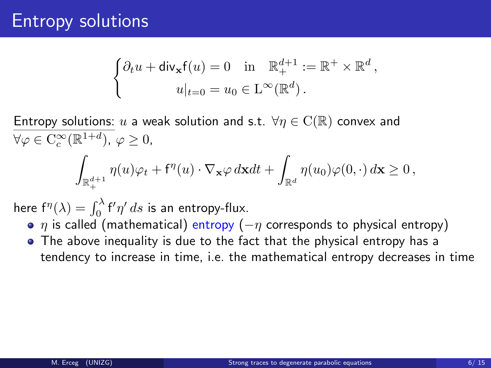$$
\begin{cases} \partial_t u + \operatorname{div}_{\mathbf{x}} f(u) = 0 & \text{in } \mathbb{R}^{d+1} := \mathbb{R}^+ \times \mathbb{R}^d, \\ u|_{t=0} = u_0 \in L^\infty(\mathbb{R}^d). \end{cases}
$$

Entropy solutions: u a weak solution and s.t.  $\forall \eta \in C(\mathbb{R})$  convex and  $\forall \varphi \in C_c^{\infty}(\mathbb{R}^{1+d}), \varphi \geq 0,$ Z  $\int_{\mathbb{R}^{d+1}_+} \eta(u) \varphi_t + \mathsf{f}^\eta(u) \cdot \nabla_\mathbf{x} \varphi \, d\mathbf{x} dt + \int_{\mathbb{R}^{d+1}_+} \eta(u) \varphi_t \, d\mathbf{x} dt + \int_{\mathbb{R}^{d+1}_+} \eta(u) \, d\mathbf{x} dt.$ +  $\int_{\mathbb{R}^d} \eta(u_0)\varphi(0,\cdot)\,d\mathbf{x} \geq 0$ ,

here  $f^{\eta}(\lambda) = \int_0^{\lambda} f' \eta' ds$  is an entropy-flux.

- $\eta$  is called (mathematical) entropy ( $-\eta$  corresponds to physical entropy)
- The above inequality is due to the fact that the physical entropy has a tendency to increase in time, i.e. the mathematical entropy decreases in time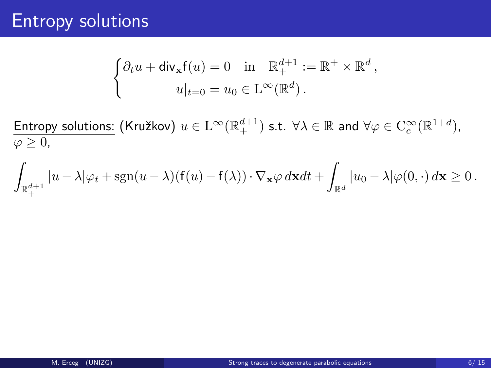$$
\begin{cases} \partial_t u + \operatorname{div}_{\mathbf{x}} f(u) = 0 & \text{in } \mathbb{R}^{d+1}_+ := \mathbb{R}^+ \times \mathbb{R}^d, \\ u|_{t=0} = u_0 \in \mathcal{L}^\infty(\mathbb{R}^d). \end{cases}
$$

Entropy solutions: (Kružkov)  $u \in L^{\infty}(\mathbb{R}^{d+1}_+)$  s.t.  $\forall \lambda \in \mathbb{R}$  and  $\forall \varphi \in C_c^{\infty}(\mathbb{R}^{1+d})$ ,  $\varphi \geq 0$ ,

$$
\int_{\mathbb{R}^{d+1}_+} |u-\lambda|\varphi_t + \mathrm{sgn}(u-\lambda)(f(u)-f(\lambda))\cdot\nabla_{\mathbf{x}}\varphi\,d\mathbf{x}dt + \int_{\mathbb{R}^d} |u_0-\lambda|\varphi(0,\cdot)\,d\mathbf{x}\geq 0\,.
$$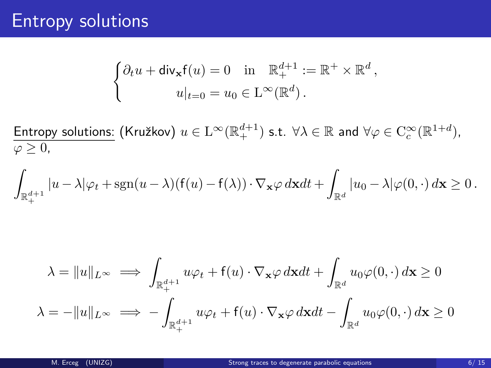$$
\begin{cases} \partial_t u + \operatorname{div}_{\mathbf{x}} f(u) = 0 & \text{in } \mathbb{R}^{d+1}_+ := \mathbb{R}^+ \times \mathbb{R}^d, \\ u|_{t=0} = u_0 \in L^\infty(\mathbb{R}^d). \end{cases}
$$

Entropy solutions:  $(Kružkov) u \in L^{\infty}(\mathbb{R}^{d+1}_+)$  s.t.  $\forall \lambda \in \mathbb{R}$  and  $\forall \varphi \in C^{\infty}_c(\mathbb{R}^{1+d})$ ,  $\overline{\varphi \geq 0}$ ,

$$
\int_{\mathbb{R}^{d+1}_+} |u-\lambda|\varphi_t + \operatorname{sgn}(u-\lambda)(\mathsf{f}(u)-\mathsf{f}(\lambda))\cdot \nabla_{\mathbf{x}}\varphi\,d\mathbf{x} dt + \int_{\mathbb{R}^d} |u_0-\lambda|\varphi(0,\cdot)\,d\mathbf{x} \geq 0\,.
$$

$$
\lambda = \|u\|_{L^{\infty}} \implies \int_{\mathbb{R}_{+}^{d+1}} u\varphi_t + f(u) \cdot \nabla_{\mathbf{x}} \varphi \, d\mathbf{x} dt + \int_{\mathbb{R}^d} u_0 \varphi(0, \cdot) \, d\mathbf{x} \ge 0
$$

$$
\lambda = -\|u\|_{L^{\infty}} \implies -\int_{\mathbb{R}_{+}^{d+1}} u\varphi_t + f(u) \cdot \nabla_{\mathbf{x}} \varphi \, d\mathbf{x} dt - \int_{\mathbb{R}^d} u_0 \varphi(0, \cdot) \, d\mathbf{x} \ge 0
$$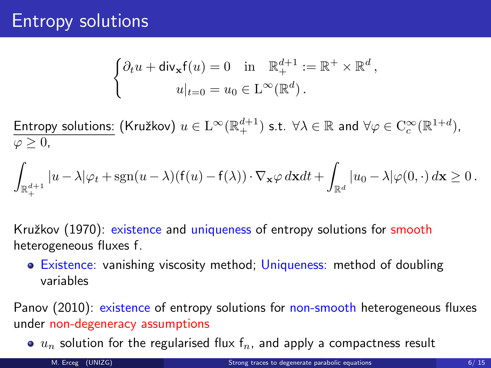$$
\begin{cases} \partial_t u + \operatorname{div}_{\mathbf{x}} f(u) = 0 & \text{in } \mathbb{R}^{d+1} := \mathbb{R}^+ \times \mathbb{R}^d, \\ u|_{t=0} = u_0 \in \mathcal{L}^\infty(\mathbb{R}^d). \end{cases}
$$

Entropy solutions: (Kružkov)  $u \in L^{\infty}(\mathbb{R}^{d+1}_+)$  s.t.  $\forall \lambda \in \mathbb{R}$  and  $\forall \varphi \in C_c^{\infty}(\mathbb{R}^{1+d})$ ,  $\varphi \geq 0$ ,

$$
\int_{\mathbb{R}^{d+1}_+} |u-\lambda|\varphi_t + \mathrm{sgn}(u-\lambda)(f(u)-f(\lambda))\cdot\nabla_{\mathbf{x}}\varphi\,d\mathbf{x}dt + \int_{\mathbb{R}^d} |u_0-\lambda|\varphi(0,\cdot)\,d\mathbf{x}\geq 0\,.
$$

Kružkov (1970): existence and uniqueness of entropy solutions for smooth heterogeneous fluxes f.

• Existence: vanishing viscosity method; Uniqueness: method of doubling variables

Panov (2010): existence of entropy solutions for non-smooth heterogeneous fluxes under non-degeneracy assumptions

 $\bullet$   $u_n$  solution for the regularised flux  $f_n$ , and apply a compactness result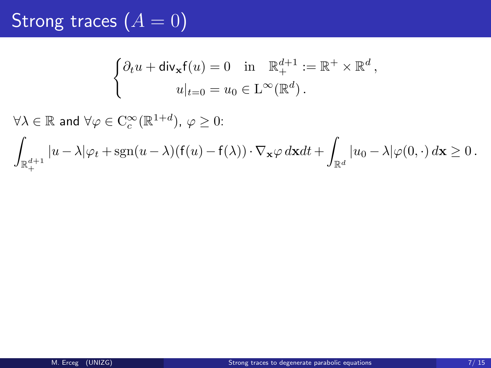$$
\begin{cases} \partial_t u + \operatorname{div}_{\mathbf{x}} f(u) = 0 & \text{in } \mathbb{R}^{d+1} := \mathbb{R}^+ \times \mathbb{R}^d, \\ u|_{t=0} = u_0 \in L^\infty(\mathbb{R}^d). \end{cases}
$$

 $\forall \lambda \in \mathbb{R}$  and  $\forall \varphi \in \mathrm{C}_c^\infty(\mathbb{R}^{1+d}), \, \varphi \geq 0$ : Z  $\int_{\mathbb{R}^{d+1}} |u-\lambda|\varphi_t+\text{sgn}(u-\lambda)(\mathsf{f}(u)-\mathsf{f}(\lambda))\cdot \nabla_{\mathbf{x}}\varphi\,d\mathbf{x}dt+\int_{\mathbb{R}^{d+1}}|\mathcal{F}(\mathbf{x})-u(\mathbf{x})|$ +  $\int_{\mathbb{R}^d} |u_0 - \lambda| \varphi(0, \cdot) \, d\mathbf{x} \geq 0$  .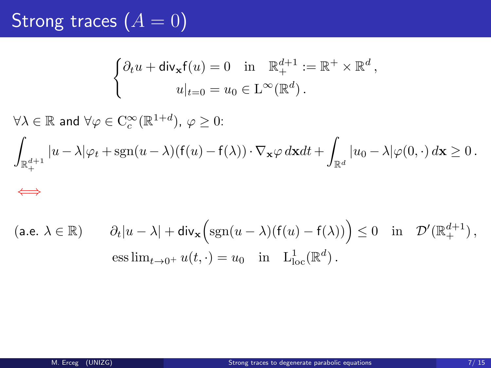$$
\begin{cases} \partial_t u + \operatorname{div}_{\mathbf{x}} f(u) = 0 & \text{in } \mathbb{R}^{d+1}_+ := \mathbb{R}^+ \times \mathbb{R}^d, \\ u|_{t=0} = u_0 \in \mathcal{L}^\infty(\mathbb{R}^d). \end{cases}
$$

 $\forall \lambda \in \mathbb{R}$  and  $\forall \varphi \in \mathrm{C}_c^\infty(\mathbb{R}^{1+d}), \, \varphi \geq 0$ : Z  $\mathbb{R}^{d+1}_+$  $|u - \lambda| \varphi_t + \text{sgn}(u - \lambda)(f(u) - f(\lambda)) \cdot \nabla_{\mathbf{x}} \varphi \, d\mathbf{x} \, dt +$  $\int_{\mathbb{R}^d} |u_0 - \lambda| \varphi(0, \cdot) \, d\mathbf{x} \geq 0$  .

### ⇐⇒

$$
\begin{array}{lll} \left(\text{a.e. }\lambda\in\mathbb{R}\right) & & \partial_t|u-\lambda|+\text{div}_{\mathbf{x}}\Big(\text{sgn}(u-\lambda)\big(\mathsf{f}(u)-\mathsf{f}(\lambda)\big)\Big)\leq 0 & \text{in} & \mathcal{D}'(\mathbb{R}^{d+1}_+)\,,\\ & & \text{ess}\lim_{t\rightarrow 0^+}u(t,\cdot)=u_0 & \text{in} & \mathrm{L}^1_{\mathrm{loc}}(\mathbb{R}^d)\,. \end{array}
$$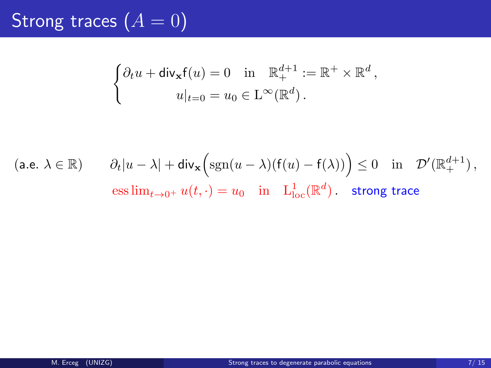$$
\begin{cases} \partial_t u + \operatorname{div}_{\mathbf{x}} f(u) = 0 & \text{in } \mathbb{R}^{d+1} := \mathbb{R}^+ \times \mathbb{R}^d, \\ u|_{t=0} = u_0 \in L^\infty(\mathbb{R}^d). \end{cases}
$$

$$
\begin{array}{ll} \left(\text{a.e. }\lambda\in\mathbb{R}\right) & \quad \partial_t|u-\lambda|+\text{div}_\mathbf{x}\Big(\text{sgn}(u-\lambda)(\mathsf{f}(u)-\mathsf{f}(\lambda))\Big)\leq 0 & \text{in}\quad \mathcal{D}'(\mathbb{R}^{d+1}_+)\,,\\[1.5ex] & \quad \ \text{ess}\lim_{t\to 0^+}u(t,\cdot)=u_0 & \text{in}\quad \mathrm{L}^1_\mathrm{loc}(\mathbb{R}^d)\,. & \text{strong trace} \end{array}
$$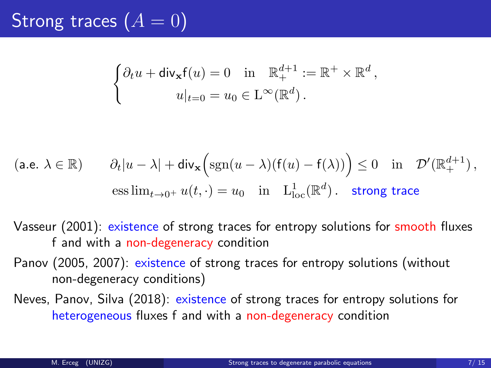$$
\begin{cases} \partial_t u + \operatorname{div}_{\mathbf{x}} f(u) = 0 & \text{in } \mathbb{R}^{d+1}_+ := \mathbb{R}^+ \times \mathbb{R}^d, \\ u|_{t=0} = u_0 \in \mathcal{L}^\infty(\mathbb{R}^d). \end{cases}
$$

$$
\begin{array}{ll} \left(\text{a.e. }\lambda\in\mathbb{R}\right) & \quad\partial_t|u-\lambda|+\hbox{div}_{\mathbf{x}}\Big(\hbox{sgn}(u-\lambda)\big(\mathsf{f}(u)-\mathsf{f}(\lambda)\big)\Big)\leq 0\quad\hbox{in}\quad\mathcal{D}'(\mathbb{R}^{d+1}_+)\,,\\[1.5ex] & \quad\hbox{ess}\lim_{t\to 0^+}u(t,\cdot)=u_0\quad\hbox{in}\quad\mathcal{L}^1_{\rm loc}(\mathbb{R}^d)\,. \quad\hbox{strong trace} \end{array}
$$

- Vasseur (2001): existence of strong traces for entropy solutions for smooth fluxes f and with a non-degeneracy condition
- Panov (2005, 2007): existence of strong traces for entropy solutions (without non-degeneracy conditions)
- Neves, Panov, Silva (2018): existence of strong traces for entropy solutions for heterogeneous fluxes f and with a non-degeneracy condition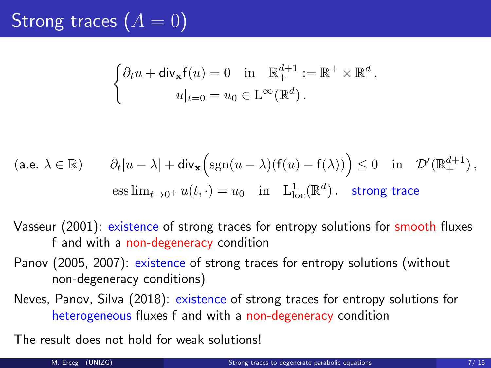$$
\begin{cases} \partial_t u + \operatorname{div}_{\mathbf{x}} f(u) = 0 & \text{in } \mathbb{R}^{d+1}_+ := \mathbb{R}^+ \times \mathbb{R}^d, \\ u|_{t=0} = u_0 \in \mathcal{L}^\infty(\mathbb{R}^d). \end{cases}
$$

$$
\begin{array}{ll} \left(\text{a.e. }\lambda\in\mathbb{R}\right) & \quad \partial_t|u-\lambda|+\hbox{div}_{\mathbf{x}}\Big(\hbox{sgn}(u-\lambda)\big(\mathsf{f}(u)-\mathsf{f}(\lambda)\big)\Big)\leq 0\quad\hbox{in}\quad \mathcal{D}'(\mathbb{R}^{d+1}_+)\,,\\[2mm] & \quad \ \, \mbox{ess}\lim_{t\rightarrow 0^+}u(t,\cdot)=u_0\quad\hbox{in}\quad \mathrm{L}^1_{\mathrm{loc}}(\mathbb{R}^d)\,. \quad \mathrm{strong\ trace} \end{array}
$$

- Vasseur (2001): existence of strong traces for entropy solutions for smooth fluxes f and with a non-degeneracy condition
- Panov (2005, 2007): existence of strong traces for entropy solutions (without non-degeneracy conditions)
- Neves, Panov, Silva (2018): existence of strong traces for entropy solutions for heterogeneous fluxes f and with a non-degeneracy condition

The result does not hold for weak solutions!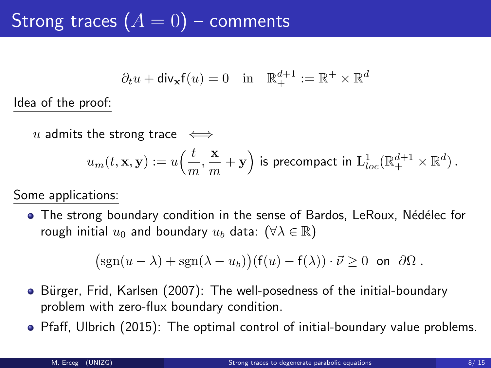## Strong traces  $(A = 0)$  – comments

$$
\partial_t u + \text{div}_{\mathbf{x}} f(u) = 0
$$
 in  $\mathbb{R}^{d+1}_+ := \mathbb{R}^+ \times \mathbb{R}^d$ 

Idea of the proof:

u admits the strong trace  $\iff$ 

$$
u_m(t,\mathbf{x},\mathbf{y}):=u\Big(\frac{t}{m},\frac{\mathbf{x}}{m}+\mathbf{y}\Big)\text{ is precompact in }\mathrm{L}^1_{loc}(\mathbb{R}^{d+1}_+\times\mathbb{R}^d)\,.
$$

Some applications:

• The strong boundary condition in the sense of Bardos, LeRoux, Nédélec for rough initial  $u_0$  and boundary  $u_b$  data:  $(\forall \lambda \in \mathbb{R})$ 

$$
(\operatorname{sgn}(u-\lambda)+\operatorname{sgn}(\lambda-u_b))(f(u)-f(\lambda))\cdot\vec{\nu}\geq 0 \text{ on } \partial\Omega.
$$

- Bürger, Frid, Karlsen (2007): The well-posedness of the initial-boundary problem with zero-flux boundary condition.
- Pfaff, Ulbrich (2015): The optimal control of initial-boundary value problems.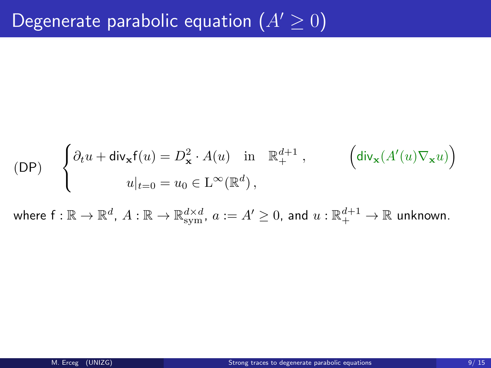$$
\begin{aligned} \text{(DP)} \quad \ \left\{ \begin{aligned} & \partial_t u + \text{div}_{\mathbf{x}} \mathsf{f}(u) = D^2_{\mathbf{x}} \cdot A(u) \quad \text{in} \quad \mathbb{R}^{d+1}_+ \; , \qquad \quad \ \left( \text{div}_{\mathbf{x}} (A'(u) \nabla_{\mathbf{x}} u) \right) \\ & \qquad \qquad u|_{t=0} = u_0 \in \mathcal{L}^\infty(\mathbb{R}^d) \, , \end{aligned} \right. \end{aligned}
$$

where  $\mathsf{f}:\mathbb{R}\to\mathbb{R}^d$ ,  $A:\mathbb{R}\to\mathbb{R}^{d\times d}_{\mathrm{sym}}$ ,  $a:=A'\geq 0$ , and  $u:\mathbb{R}^{d+1}_+\to\mathbb{R}$  unknown.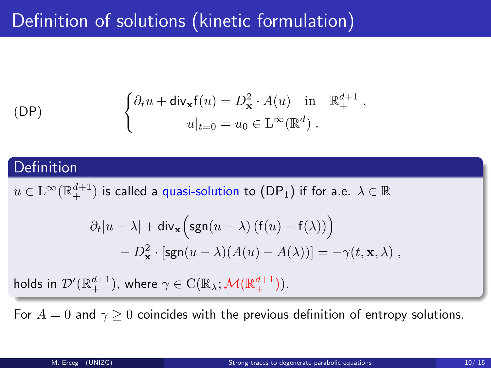## Definition of solutions (kinetic formulation)

$$
\begin{cases}\n\partial_t u + \operatorname{div}_{\mathbf{x}} f(u) = D_{\mathbf{x}}^2 \cdot A(u) & \text{in } \mathbb{R}_+^{d+1}, \\
u|_{t=0} = u_0 \in \mathcal{L}^\infty(\mathbb{R}^d).\n\end{cases}
$$

### Definition

 $u\in\mathrm{L}^{\infty}(\mathbb{R}^{d+1}_+)$  is called a quasi-solution to  $(\mathsf{DP}_1)$  if for a.e.  $\lambda\in\mathbb{R}$ 

$$
\partial_t |u - \lambda| + \text{div}_{\mathbf{x}} \Big( \text{sgn}(u - \lambda) \left( f(u) - f(\lambda) \right) \Big) - D_{\mathbf{x}}^2 \cdot \left[ \text{sgn}(u - \lambda) (A(u) - A(\lambda)) \right] = -\gamma(t, \mathbf{x}, \lambda) ,
$$

holds in  $\mathcal{D}'(\mathbb{R}^{d+1}_+ )$ , where  $\gamma\in\mathrm{C}(\mathbb{R}_\lambda;\mathcal{M}(\mathbb{R}^{d+1}_+))$ .

For  $A = 0$  and  $\gamma \ge 0$  coincides with the previous definition of entropy solutions.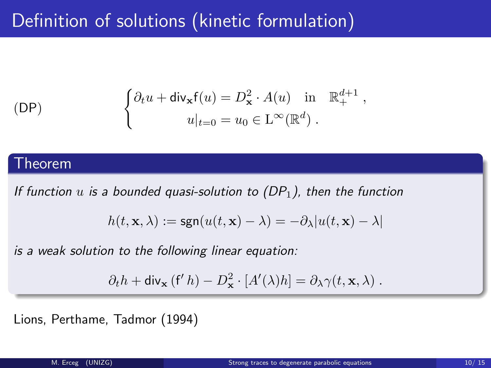## Definition of solutions (kinetic formulation)

$$
\begin{cases}\n\partial_t u + \operatorname{div}_{\mathbf{x}} f(u) = D_{\mathbf{x}}^2 \cdot A(u) & \text{in } \mathbb{R}_+^{d+1}, \\
u|_{t=0} = u_0 \in L^\infty(\mathbb{R}^d).\n\end{cases}
$$

### **Theorem**

If function  $u$  is a bounded quasi-solution to (DP<sub>1</sub>), then the function

$$
h(t,\mathbf{x},\lambda):=\mathrm{sgn}(u(t,\mathbf{x})-\lambda)=-\partial_\lambda|u(t,\mathbf{x})-\lambda|
$$

is a weak solution to the following linear equation:

$$
\partial_t h + \operatorname{div}_{\mathbf{x}} (f' h) - D_{\mathbf{x}}^2 \cdot [A'(\lambda) h] = \partial_{\lambda} \gamma(t, \mathbf{x}, \lambda) .
$$

Lions, Perthame, Tadmor (1994)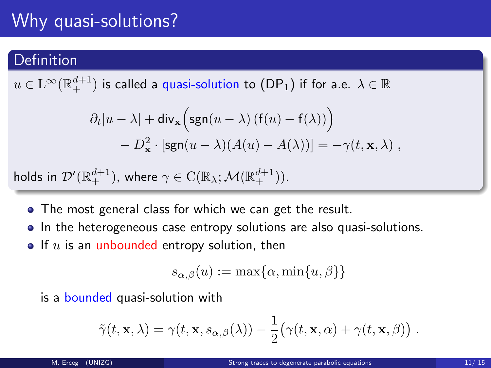## Why quasi-solutions?

### Definition

 $u\in\mathrm{L}^{\infty}(\mathbb{R}^{d+1}_+)$  is called a quasi-solution to  $(\mathsf{DP}_1)$  if for a.e.  $\lambda\in\mathbb{R}$ 

$$
\partial_t |u - \lambda| + \text{div}_{\mathbf{x}} \Big( \text{sgn}(u - \lambda) \left( f(u) - f(\lambda) \right) \Big) - D_{\mathbf{x}}^2 \cdot \left[ \text{sgn}(u - \lambda) (A(u) - A(\lambda)) \right] = -\gamma(t, \mathbf{x}, \lambda) ,
$$

$$
\text{holds in } \mathcal{D}'(\mathbb{R}^{d+1}_+), \text{ where } \gamma \in \mathrm{C}(\mathbb{R}_\lambda; \mathcal{M}(\mathbb{R}^{d+1}_+)).
$$

- The most general class for which we can get the result.
- In the heterogeneous case entropy solutions are also quasi-solutions.
- $\bullet$  If  $u$  is an unbounded entropy solution, then

$$
s_{\alpha,\beta}(u) := \max\{\alpha,\min\{u,\beta\}\}\
$$

is a bounded quasi-solution with

$$
\tilde{\gamma}(t, \mathbf{x}, \lambda) = \gamma(t, \mathbf{x}, s_{\alpha, \beta}(\lambda)) - \frac{1}{2} (\gamma(t, \mathbf{x}, \alpha) + \gamma(t, \mathbf{x}, \beta)).
$$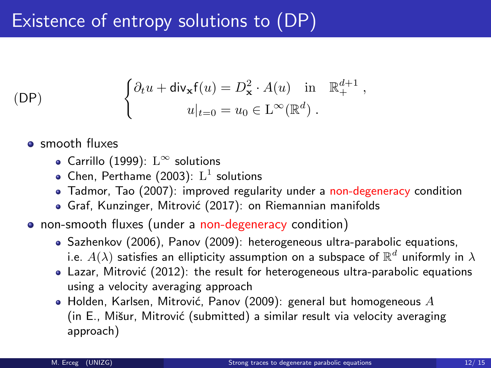## Existence of entropy solutions to (DP)

$$
\begin{cases}\n\partial_t u + \operatorname{div}_{\mathbf{x}} f(u) = D_{\mathbf{x}}^2 \cdot A(u) & \text{in } \mathbb{R}_+^{d+1}, \\
u|_{t=0} = u_0 \in \mathcal{L}^\infty(\mathbb{R}^d).\n\end{cases}
$$

- smooth fluxes
	- Carrillo (1999):  $L^{\infty}$  solutions
	- Chen, Perthame (2003):  $L^1$  solutions
	- Tadmor, Tao (2007): improved regularity under a non-degeneracy condition
	- Graf, Kunzinger, Mitrović (2017): on Riemannian manifolds
- non-smooth fluxes (under a non-degeneracy condition)
	- Sazhenkov (2006), Panov (2009): heterogeneous ultra-parabolic equations, i.e.  $A(\lambda)$  satisfies an ellipticity assumption on a subspace of  $\mathbb{R}^d$  uniformly in  $\lambda$
	- Lazar. Mitrović (2012): the result for heterogeneous ultra-parabolic equations using a velocity averaging approach
	- $\bullet$  Holden, Karlsen, Mitrović, Panov (2009): general but homogeneous  $A$ (in E., Mišur, Mitrović (submitted) a similar result via velocity averaging approach)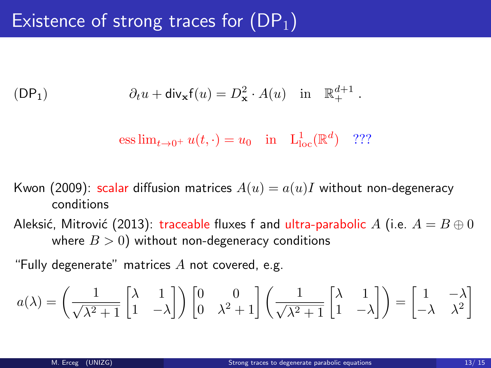$$
(\mathsf{DP}_1) \qquad \qquad \partial_t u + \mathsf{div}_{\mathbf{x}} \mathsf{f}(u) = D_{\mathbf{x}}^2 \cdot A(u) \quad \text{in} \quad \mathbb{R}^{d+1}_+ \; .
$$

ess 
$$
\lim_{t \to 0^+} u(t, \cdot) = u_0
$$
 in  $L^1_{loc}(\mathbb{R}^d)$  ???

- Kwon (2009): scalar diffusion matrices  $A(u) = a(u)I$  without non-degeneracy conditions
- Aleksić, Mitrović (2013): traceable fluxes f and ultra-parabolic A (i.e.  $A = B \oplus 0$ where  $B > 0$ ) without non-degeneracy conditions

"Fully degenerate" matrices  $A$  not covered, e.g.

$$
a(\lambda) = \left(\frac{1}{\sqrt{\lambda^2 + 1}} \begin{bmatrix} \lambda & 1 \\ 1 & -\lambda \end{bmatrix} \right) \begin{bmatrix} 0 & 0 \\ 0 & \lambda^2 + 1 \end{bmatrix} \left(\frac{1}{\sqrt{\lambda^2 + 1}} \begin{bmatrix} \lambda & 1 \\ 1 & -\lambda \end{bmatrix} \right) = \begin{bmatrix} 1 & -\lambda \\ -\lambda & \lambda^2 \end{bmatrix}
$$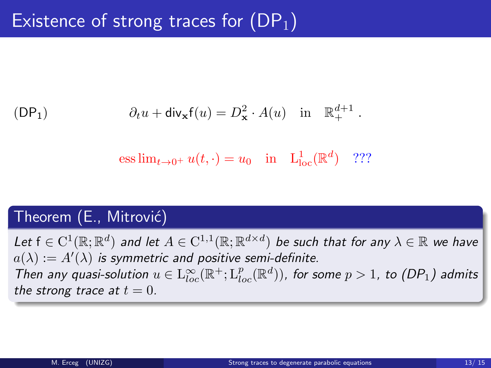$$
(\mathsf{DP}_1) \qquad \qquad \partial_t u + \mathsf{div}_\mathbf{x} \mathsf{f}(u) = D_\mathbf{x}^2 \cdot A(u) \quad \text{in} \quad \mathbb{R}^{d+1}_+ \; .
$$

ess  $\lim_{t \to 0^+} u(t, \cdot) = u_0$  in  $L^1_{loc}(\mathbb{R}^d)$  ???

### Theorem (E., Mitrović)

Let  $f \in C^1(\mathbb{R};\mathbb{R}^d)$  and let  $A \in C^{1,1}(\mathbb{R};\mathbb{R}^{d \times d})$  be such that for any  $\lambda \in \mathbb{R}$  we have  $a(\lambda) := A'(\lambda)$  is symmetric and positive semi-definite. Then any quasi-solution  $u \in L^{\infty}_{loc}(\mathbb{R}^+; L^p_{loc}(\mathbb{R}^d))$ , for some  $p > 1$ , to (DP<sub>1</sub>) admits the strong trace at  $t = 0$ .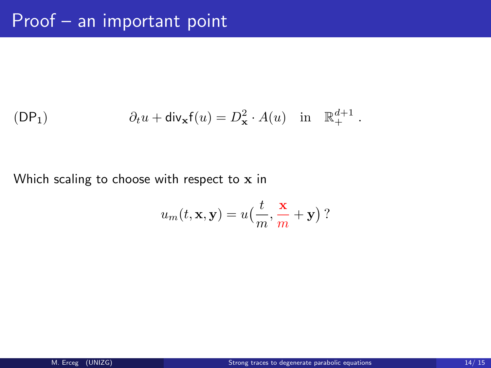$$
(\mathsf{DP}_1) \qquad \qquad \partial_t u + \mathsf{div}_\mathbf{x} \mathsf{f}(u) = D_\mathbf{x}^2 \cdot A(u) \quad \text{in} \quad \mathbb{R}^{d+1}_+ \; .
$$

### Which scaling to choose with respect to x in

$$
u_m(t, \mathbf{x}, \mathbf{y}) = u\left(\frac{t}{m}, \frac{\mathbf{x}}{m} + \mathbf{y}\right)?
$$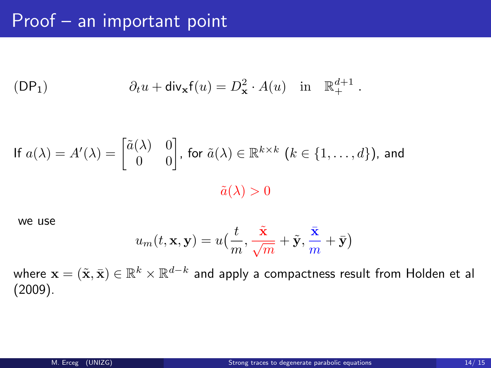$$
(\mathsf{DP}_1) \qquad \qquad \partial_t u + \mathsf{div}_{\mathbf{x}} \mathsf{f}(u) = D^2_{\mathbf{x}} \cdot A(u) \quad \text{in} \quad \mathbb{R}^{d+1}_+ \; .
$$

If 
$$
a(\lambda) = A'(\lambda) = \begin{bmatrix} \tilde{a}(\lambda) & 0 \\ 0 & 0 \end{bmatrix}
$$
, for  $\tilde{a}(\lambda) \in \mathbb{R}^{k \times k}$   $(k \in \{1, ..., d\})$ , and  $\tilde{a}(\lambda) > 0$ 

we use

$$
u_m(t,\mathbf{x},\mathbf{y})=u\big(\frac{t}{m},\frac{\tilde{\mathbf{x}}}{\sqrt{m}}+\tilde{\mathbf{y}},\frac{\bar{\mathbf{x}}}{m}+\bar{\mathbf{y}}\big)
$$

where  $\mathbf{x}=(\tilde{\mathbf{x}},\bar{\mathbf{x}})\in\mathbb{R}^k\times\mathbb{R}^{d-k}$  and apply a compactness result from Holden et al (2009).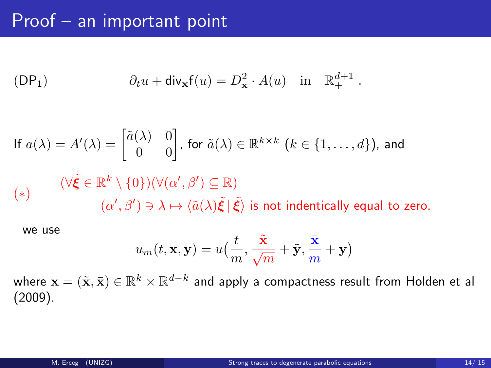$$
(\mathsf{DP}_1) \qquad \partial_t u + \mathsf{div}_{\mathbf{x}} \mathsf{f}(u) = D_{\mathbf{x}}^2 \cdot A(u) \quad \text{in} \quad \mathbb{R}^{d+1}_+ \; .
$$

If 
$$
a(\lambda) = A'(\lambda) = \begin{bmatrix} \tilde{a}(\lambda) & 0 \\ 0 & 0 \end{bmatrix}
$$
, for  $\tilde{a}(\lambda) \in \mathbb{R}^{k \times k}$   $(k \in \{1, ..., d\})$ , and  
\n $(\forall \tilde{\xi} \in \mathbb{R}^k \setminus \{0\}) (\forall (\alpha', \beta') \subseteq \mathbb{R})$   
\n $(\alpha', \beta') \ni \lambda \mapsto \langle \tilde{a}(\lambda) \tilde{\xi} | \tilde{\xi} \rangle$  is not identically equal to zero.

we use

$$
u_m(t, \mathbf{x}, \mathbf{y}) = u\left(\frac{t}{m}, \frac{\tilde{\mathbf{x}}}{\sqrt{m}} + \tilde{\mathbf{y}}, \frac{\bar{\mathbf{x}}}{m} + \bar{\mathbf{y}}\right)
$$

where  $\mathbf{x}=(\tilde{\mathbf{x}},\bar{\mathbf{x}})\in\mathbb{R}^k\times\mathbb{R}^{d-k}$  and apply a compactness result from Holden et al (2009).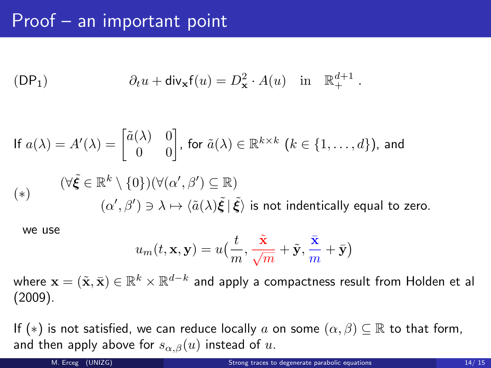$$
(\mathsf{DP}_1) \qquad \qquad \partial_t u + \mathsf{div}_{\mathbf{x}} \mathsf{f}(u) = D_{\mathbf{x}}^2 \cdot A(u) \quad \text{in} \quad \mathbb{R}^{d+1}_+ \; .
$$

If 
$$
a(\lambda) = A'(\lambda) = \begin{bmatrix} \tilde{a}(\lambda) & 0 \\ 0 & 0 \end{bmatrix}
$$
, for  $\tilde{a}(\lambda) \in \mathbb{R}^{k \times k}$   $(k \in \{1, ..., d\})$ , and  
\n $(\forall \tilde{\xi} \in \mathbb{R}^k \setminus \{0\}) (\forall (\alpha', \beta') \subseteq \mathbb{R})$   
\n $(\alpha', \beta') \ni \lambda \mapsto \langle \tilde{a}(\lambda) \tilde{\xi} | \tilde{\xi} \rangle$  is not identically equal to zero.

we use

$$
u_m(t,\mathbf{x},\mathbf{y})=u\big(\frac{t}{m},\frac{\tilde{\mathbf{x}}}{\sqrt{m}}+\tilde{\mathbf{y}},\frac{\bar{\mathbf{x}}}{m}+\bar{\mathbf{y}}\big)
$$

where  $\mathbf{x}=(\tilde{\mathbf{x}},\bar{\mathbf{x}})\in\mathbb{R}^k\times\mathbb{R}^{d-k}$  and apply a compactness result from Holden et al (2009).

If (\*) is not satisfied, we can reduce locally a on some  $(\alpha, \beta) \subset \mathbb{R}$  to that form, and then apply above for  $s_{\alpha,\beta}(u)$  instead of u.